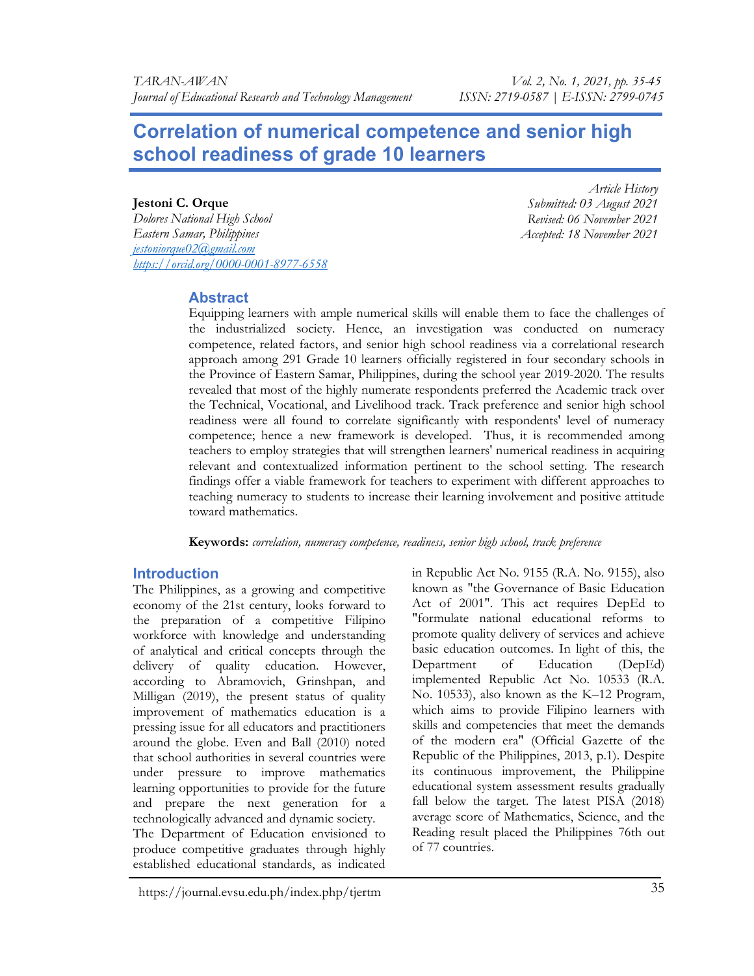# Correlation of numerical competence and senior high school readiness of grade 10 learners

### Jestoni C. Orque

Dolores National High School Eastern Samar, Philippines jestoniorque02@gmail.com https://orcid.org/0000-0001-8977-6558

Article History Submitted: 03 August 2021 Revised: 06 November 2021 Accepted: 18 November 2021

# Abstract

Equipping learners with ample numerical skills will enable them to face the challenges of the industrialized society. Hence, an investigation was conducted on numeracy competence, related factors, and senior high school readiness via a correlational research approach among 291 Grade 10 learners officially registered in four secondary schools in the Province of Eastern Samar, Philippines, during the school year 2019-2020. The results revealed that most of the highly numerate respondents preferred the Academic track over the Technical, Vocational, and Livelihood track. Track preference and senior high school readiness were all found to correlate significantly with respondents' level of numeracy competence; hence a new framework is developed. Thus, it is recommended among teachers to employ strategies that will strengthen learners' numerical readiness in acquiring relevant and contextualized information pertinent to the school setting. The research findings offer a viable framework for teachers to experiment with different approaches to teaching numeracy to students to increase their learning involvement and positive attitude toward mathematics.

Keywords: correlation, numeracy competence, readiness, senior high school, track preference

# **Introduction**

The Philippines, as a growing and competitive economy of the 21st century, looks forward to the preparation of a competitive Filipino workforce with knowledge and understanding of analytical and critical concepts through the delivery of quality education. However, according to Abramovich, Grinshpan, and Milligan (2019), the present status of quality improvement of mathematics education is a pressing issue for all educators and practitioners around the globe. Even and Ball (2010) noted that school authorities in several countries were under pressure to improve mathematics learning opportunities to provide for the future and prepare the next generation for a technologically advanced and dynamic society. The Department of Education envisioned to produce competitive graduates through highly established educational standards, as indicated

known as "the Governance of Basic Education Act of 2001". This act requires DepEd to "formulate national educational reforms to promote quality delivery of services and achieve basic education outcomes. In light of this, the Department of Education (DepEd) implemented Republic Act No. 10533 (R.A. No. 10533), also known as the K–12 Program, which aims to provide Filipino learners with skills and competencies that meet the demands of the modern era" (Official Gazette of the Republic of the Philippines, 2013, p.1). Despite its continuous improvement, the Philippine educational system assessment results gradually fall below the target. The latest PISA (2018) average score of Mathematics, Science, and the Reading result placed the Philippines 76th out of 77 countries.

in Republic Act No. 9155 (R.A. No. 9155), also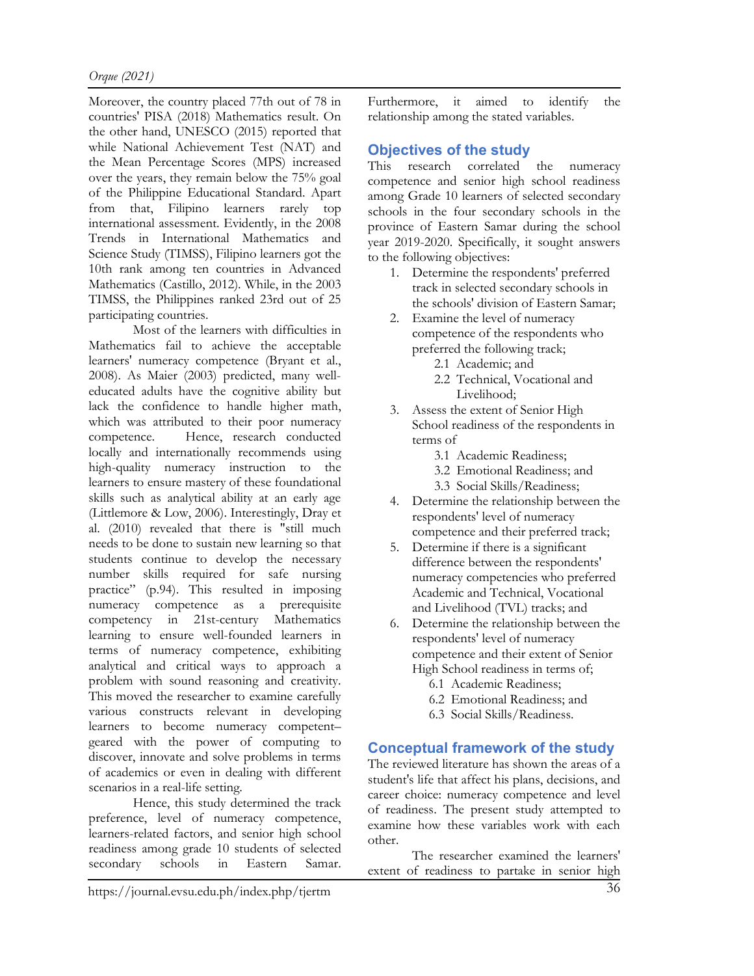Moreover, the country placed 77th out of 78 in countries' PISA (2018) Mathematics result. On the other hand, UNESCO (2015) reported that while National Achievement Test (NAT) and the Mean Percentage Scores (MPS) increased over the years, they remain below the 75% goal of the Philippine Educational Standard. Apart from that, Filipino learners rarely top international assessment. Evidently, in the 2008 Trends in International Mathematics and Science Study (TIMSS), Filipino learners got the 10th rank among ten countries in Advanced Mathematics (Castillo, 2012). While, in the 2003 TIMSS, the Philippines ranked 23rd out of 25 participating countries.

Most of the learners with difficulties in Mathematics fail to achieve the acceptable learners' numeracy competence (Bryant et al., 2008). As Maier (2003) predicted, many welleducated adults have the cognitive ability but lack the confidence to handle higher math, which was attributed to their poor numeracy competence. Hence, research conducted locally and internationally recommends using high-quality numeracy instruction to the learners to ensure mastery of these foundational skills such as analytical ability at an early age (Littlemore & Low, 2006). Interestingly, Dray et al. (2010) revealed that there is "still much needs to be done to sustain new learning so that students continue to develop the necessary number skills required for safe nursing practice" (p.94). This resulted in imposing numeracy competence as a prerequisite competency in 21st-century Mathematics learning to ensure well-founded learners in terms of numeracy competence, exhibiting analytical and critical ways to approach a problem with sound reasoning and creativity. This moved the researcher to examine carefully various constructs relevant in developing learners to become numeracy competent– geared with the power of computing to discover, innovate and solve problems in terms of academics or even in dealing with different scenarios in a real-life setting.

Hence, this study determined the track preference, level of numeracy competence, learners-related factors, and senior high school readiness among grade 10 students of selected secondary schools in Eastern Samar. Furthermore, it aimed to identify the relationship among the stated variables.

# Objectives of the study

This research correlated the numeracy competence and senior high school readiness among Grade 10 learners of selected secondary schools in the four secondary schools in the province of Eastern Samar during the school year 2019-2020. Specifically, it sought answers to the following objectives:

- 1. Determine the respondents' preferred track in selected secondary schools in the schools' division of Eastern Samar;
- 2. Examine the level of numeracy competence of the respondents who preferred the following track;
	- 2.1 Academic; and
	- 2.2 Technical, Vocational and Livelihood;
- 3. Assess the extent of Senior High School readiness of the respondents in terms of
	- 3.1 Academic Readiness;
	- 3.2 Emotional Readiness; and
	- 3.3 Social Skills/Readiness;
- 4. Determine the relationship between the respondents' level of numeracy competence and their preferred track;
- 5. Determine if there is a significant difference between the respondents' numeracy competencies who preferred Academic and Technical, Vocational and Livelihood (TVL) tracks; and
- 6. Determine the relationship between the respondents' level of numeracy competence and their extent of Senior High School readiness in terms of;
	- 6.1 Academic Readiness;
	- 6.2 Emotional Readiness; and
	- 6.3 Social Skills/Readiness.

# Conceptual framework of the study

The reviewed literature has shown the areas of a student's life that affect his plans, decisions, and career choice: numeracy competence and level of readiness. The present study attempted to examine how these variables work with each other.

The researcher examined the learners' extent of readiness to partake in senior high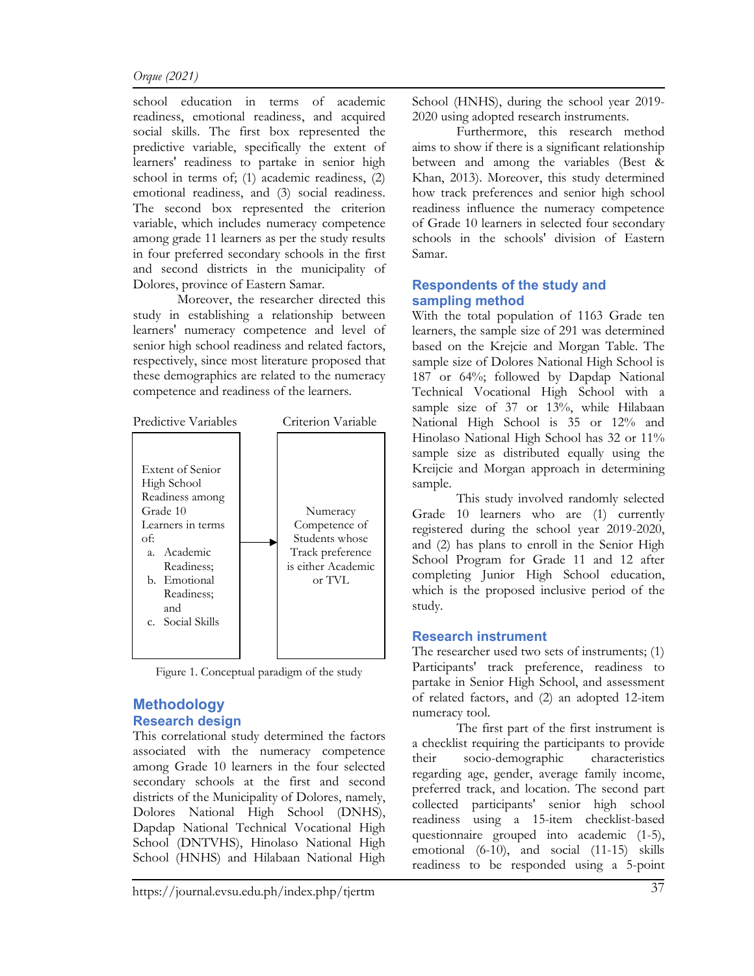#### Orque (2021)

school education in terms of academic readiness, emotional readiness, and acquired social skills. The first box represented the predictive variable, specifically the extent of learners' readiness to partake in senior high school in terms of; (1) academic readiness, (2) emotional readiness, and (3) social readiness. The second box represented the criterion variable, which includes numeracy competence among grade 11 learners as per the study results in four preferred secondary schools in the first and second districts in the municipality of Dolores, province of Eastern Samar.

 Moreover, the researcher directed this study in establishing a relationship between learners' numeracy competence and level of senior high school readiness and related factors, respectively, since most literature proposed that these demographics are related to the numeracy competence and readiness of the learners.



Figure 1. Conceptual paradigm of the study

# Methodology Research design

This correlational study determined the factors associated with the numeracy competence among Grade 10 learners in the four selected secondary schools at the first and second districts of the Municipality of Dolores, namely, Dolores National High School (DNHS), Dapdap National Technical Vocational High School (DNTVHS), Hinolaso National High School (HNHS) and Hilabaan National High

School (HNHS), during the school year 2019- 2020 using adopted research instruments.

 Furthermore, this research method aims to show if there is a significant relationship between and among the variables (Best & Khan, 2013). Moreover, this study determined how track preferences and senior high school readiness influence the numeracy competence of Grade 10 learners in selected four secondary schools in the schools' division of Eastern Samar.

### Respondents of the study and sampling method

With the total population of 1163 Grade ten learners, the sample size of 291 was determined based on the Krejcie and Morgan Table. The sample size of Dolores National High School is 187 or 64%; followed by Dapdap National Technical Vocational High School with a sample size of 37 or 13%, while Hilabaan National High School is 35 or 12% and Hinolaso National High School has 32 or 11% sample size as distributed equally using the Kreijcie and Morgan approach in determining sample.

 This study involved randomly selected Grade 10 learners who are (1) currently registered during the school year 2019-2020, and (2) has plans to enroll in the Senior High School Program for Grade 11 and 12 after completing Junior High School education, which is the proposed inclusive period of the study.

# Research instrument

The researcher used two sets of instruments; (1) Participants' track preference, readiness to partake in Senior High School, and assessment of related factors, and (2) an adopted 12-item numeracy tool.

 The first part of the first instrument is a checklist requiring the participants to provide their socio-demographic characteristics regarding age, gender, average family income, preferred track, and location. The second part collected participants' senior high school readiness using a 15-item checklist-based questionnaire grouped into academic (1-5), emotional (6-10), and social (11-15) skills readiness to be responded using a 5-point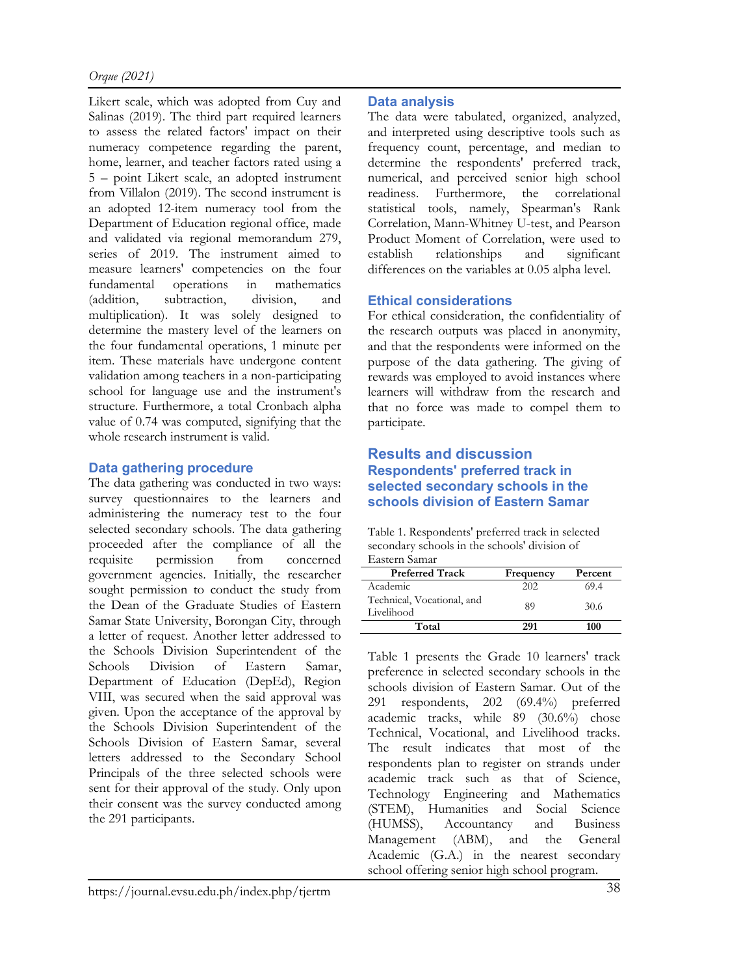Likert scale, which was adopted from Cuy and Salinas (2019). The third part required learners to assess the related factors' impact on their numeracy competence regarding the parent, home, learner, and teacher factors rated using a 5 – point Likert scale, an adopted instrument from Villalon (2019). The second instrument is an adopted 12-item numeracy tool from the Department of Education regional office, made and validated via regional memorandum 279, series of 2019. The instrument aimed to measure learners' competencies on the four fundamental operations in mathematics (addition, subtraction, division, and multiplication). It was solely designed to determine the mastery level of the learners on the four fundamental operations, 1 minute per item. These materials have undergone content validation among teachers in a non-participating school for language use and the instrument's structure. Furthermore, a total Cronbach alpha value of 0.74 was computed, signifying that the whole research instrument is valid.

# Data gathering procedure

The data gathering was conducted in two ways: survey questionnaires to the learners and administering the numeracy test to the four selected secondary schools. The data gathering proceeded after the compliance of all the requisite permission from concerned government agencies. Initially, the researcher sought permission to conduct the study from the Dean of the Graduate Studies of Eastern Samar State University, Borongan City, through a letter of request. Another letter addressed to the Schools Division Superintendent of the Schools Division of Eastern Samar, Department of Education (DepEd), Region VIII, was secured when the said approval was given. Upon the acceptance of the approval by the Schools Division Superintendent of the Schools Division of Eastern Samar, several letters addressed to the Secondary School Principals of the three selected schools were sent for their approval of the study. Only upon their consent was the survey conducted among the 291 participants.

# Data analysis

The data were tabulated, organized, analyzed, and interpreted using descriptive tools such as frequency count, percentage, and median to determine the respondents' preferred track, numerical, and perceived senior high school readiness. Furthermore, the correlational statistical tools, namely, Spearman's Rank Correlation, Mann-Whitney U-test, and Pearson Product Moment of Correlation, were used to establish relationships and significant differences on the variables at 0.05 alpha level.

# Ethical considerations

For ethical consideration, the confidentiality of the research outputs was placed in anonymity, and that the respondents were informed on the purpose of the data gathering. The giving of rewards was employed to avoid instances where learners will withdraw from the research and that no force was made to compel them to participate.

### Results and discussion Respondents' preferred track in selected secondary schools in the schools division of Eastern Samar

Table 1. Respondents' preferred track in selected secondary schools in the schools' division of Eastern Samar

| $\Box$ aseChii wannan                    |           |         |
|------------------------------------------|-----------|---------|
| <b>Preferred Track</b>                   | Frequency | Percent |
| Academic                                 | 202       | 69.4    |
| Technical, Vocational, and<br>Livelihood | 89        | 30.6    |
| Total                                    | 291       | 100     |

Table 1 presents the Grade 10 learners' track preference in selected secondary schools in the schools division of Eastern Samar. Out of the 291 respondents, 202 (69.4%) preferred academic tracks, while 89 (30.6%) chose Technical, Vocational, and Livelihood tracks. The result indicates that most of the respondents plan to register on strands under academic track such as that of Science, Technology Engineering and Mathematics (STEM), Humanities and Social Science<br>(HUMSS), Accountancy and Business Accountancy and Business Management (ABM), and the General Academic (G.A.) in the nearest secondary school offering senior high school program.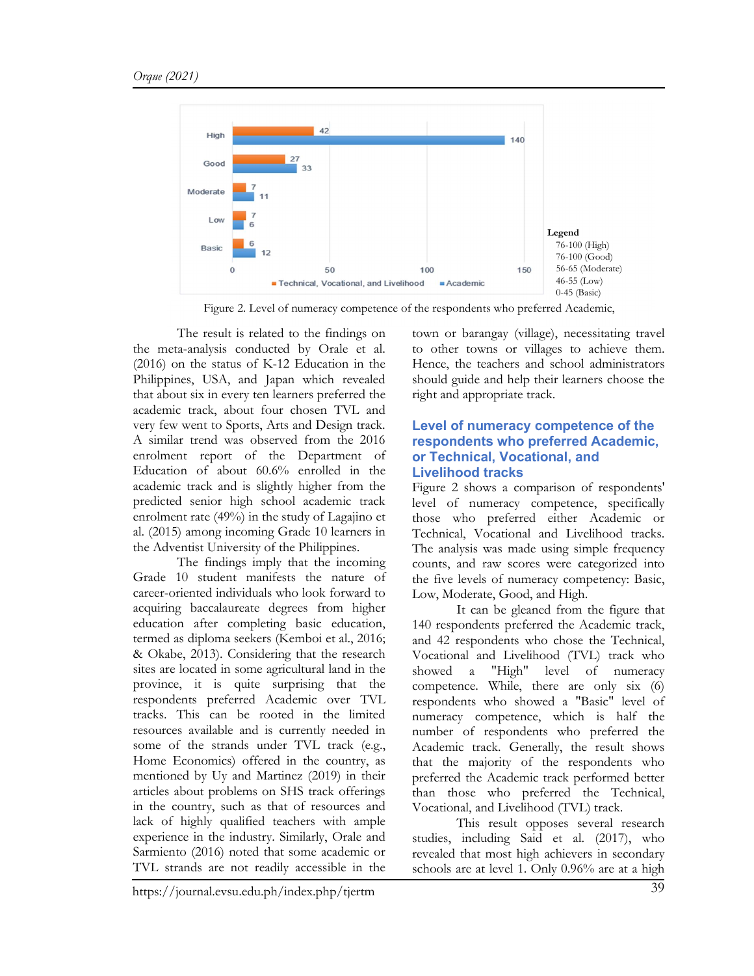

Figure 2. Level of numeracy competence of the respondents who preferred Academic,

The result is related to the findings on the meta-analysis conducted by Orale et al. (2016) on the status of K-12 Education in the Philippines, USA, and Japan which revealed that about six in every ten learners preferred the academic track, about four chosen TVL and very few went to Sports, Arts and Design track. A similar trend was observed from the 2016 enrolment report of the Department of Education of about 60.6% enrolled in the academic track and is slightly higher from the predicted senior high school academic track enrolment rate (49%) in the study of Lagajino et al. (2015) among incoming Grade 10 learners in the Adventist University of the Philippines.

The findings imply that the incoming Grade 10 student manifests the nature of career-oriented individuals who look forward to acquiring baccalaureate degrees from higher education after completing basic education, termed as diploma seekers (Kemboi et al., 2016; & Okabe, 2013). Considering that the research sites are located in some agricultural land in the province, it is quite surprising that the respondents preferred Academic over TVL tracks. This can be rooted in the limited resources available and is currently needed in some of the strands under TVL track (e.g., Home Economics) offered in the country, as mentioned by Uy and Martinez (2019) in their articles about problems on SHS track offerings in the country, such as that of resources and lack of highly qualified teachers with ample experience in the industry. Similarly, Orale and Sarmiento (2016) noted that some academic or TVL strands are not readily accessible in the

town or barangay (village), necessitating travel to other towns or villages to achieve them. Hence, the teachers and school administrators should guide and help their learners choose the right and appropriate track.

#### Level of numeracy competence of the respondents who preferred Academic, or Technical, Vocational, and Livelihood tracks

Figure 2 shows a comparison of respondents' level of numeracy competence, specifically those who preferred either Academic or Technical, Vocational and Livelihood tracks. The analysis was made using simple frequency counts, and raw scores were categorized into the five levels of numeracy competency: Basic, Low, Moderate, Good, and High.

It can be gleaned from the figure that 140 respondents preferred the Academic track, and 42 respondents who chose the Technical, Vocational and Livelihood (TVL) track who showed a "High" level of numeracy competence. While, there are only six (6) respondents who showed a "Basic" level of numeracy competence, which is half the number of respondents who preferred the Academic track. Generally, the result shows that the majority of the respondents who preferred the Academic track performed better than those who preferred the Technical, Vocational, and Livelihood (TVL) track.

This result opposes several research studies, including Said et al. (2017), who revealed that most high achievers in secondary schools are at level 1. Only 0.96% are at a high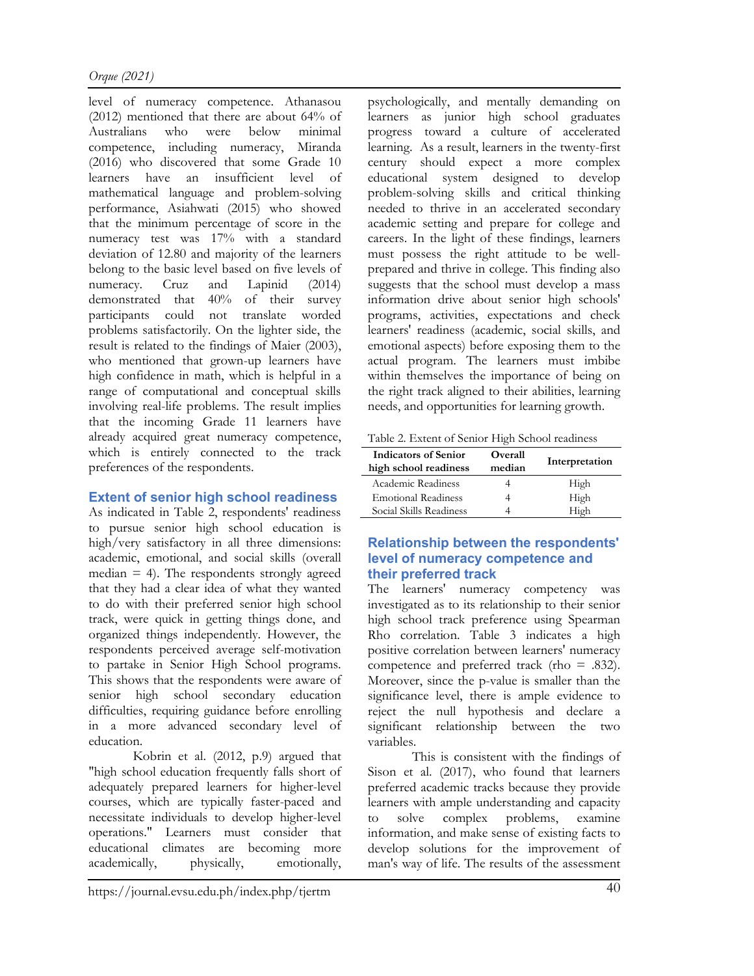level of numeracy competence. Athanasou (2012) mentioned that there are about 64% of Australians who were below minimal competence, including numeracy, Miranda (2016) who discovered that some Grade 10 learners have an insufficient level of mathematical language and problem-solving performance, Asiahwati (2015) who showed that the minimum percentage of score in the numeracy test was 17% with a standard deviation of 12.80 and majority of the learners belong to the basic level based on five levels of numeracy. Cruz and Lapinid (2014) demonstrated that 40% of their survey participants could not translate worded problems satisfactorily. On the lighter side, the result is related to the findings of Maier (2003), who mentioned that grown-up learners have high confidence in math, which is helpful in a range of computational and conceptual skills involving real-life problems. The result implies that the incoming Grade 11 learners have already acquired great numeracy competence, which is entirely connected to the track preferences of the respondents.

# Extent of senior high school readiness

As indicated in Table 2, respondents' readiness to pursue senior high school education is high/very satisfactory in all three dimensions: academic, emotional, and social skills (overall median  $= 4$ ). The respondents strongly agreed that they had a clear idea of what they wanted to do with their preferred senior high school track, were quick in getting things done, and organized things independently. However, the respondents perceived average self-motivation to partake in Senior High School programs. This shows that the respondents were aware of senior high school secondary education difficulties, requiring guidance before enrolling in a more advanced secondary level of education.

Kobrin et al. (2012, p.9) argued that "high school education frequently falls short of adequately prepared learners for higher-level courses, which are typically faster-paced and necessitate individuals to develop higher-level operations." Learners must consider that educational climates are becoming more academically, physically, emotionally,

psychologically, and mentally demanding on learners as junior high school graduates progress toward a culture of accelerated learning. As a result, learners in the twenty-first century should expect a more complex educational system designed to develop problem-solving skills and critical thinking needed to thrive in an accelerated secondary academic setting and prepare for college and careers. In the light of these findings, learners must possess the right attitude to be wellprepared and thrive in college. This finding also suggests that the school must develop a mass information drive about senior high schools' programs, activities, expectations and check learners' readiness (academic, social skills, and emotional aspects) before exposing them to the actual program. The learners must imbibe within themselves the importance of being on the right track aligned to their abilities, learning needs, and opportunities for learning growth.

Table 2. Extent of Senior High School readiness

| <b>Indicators of Senior</b><br>high school readiness | Overall<br>median | Interpretation |
|------------------------------------------------------|-------------------|----------------|
| Academic Readiness                                   |                   | High           |
| <b>Emotional Readiness</b>                           |                   | High           |
| Social Skills Readiness                              |                   | High           |

# Relationship between the respondents' level of numeracy competence and their preferred track

The learners' numeracy competency was investigated as to its relationship to their senior high school track preference using Spearman Rho correlation. Table 3 indicates a high positive correlation between learners' numeracy competence and preferred track (rho = .832). Moreover, since the p-value is smaller than the significance level, there is ample evidence to reject the null hypothesis and declare a significant relationship between the two variables.

This is consistent with the findings of Sison et al. (2017), who found that learners preferred academic tracks because they provide learners with ample understanding and capacity to solve complex problems, examine information, and make sense of existing facts to develop solutions for the improvement of man's way of life. The results of the assessment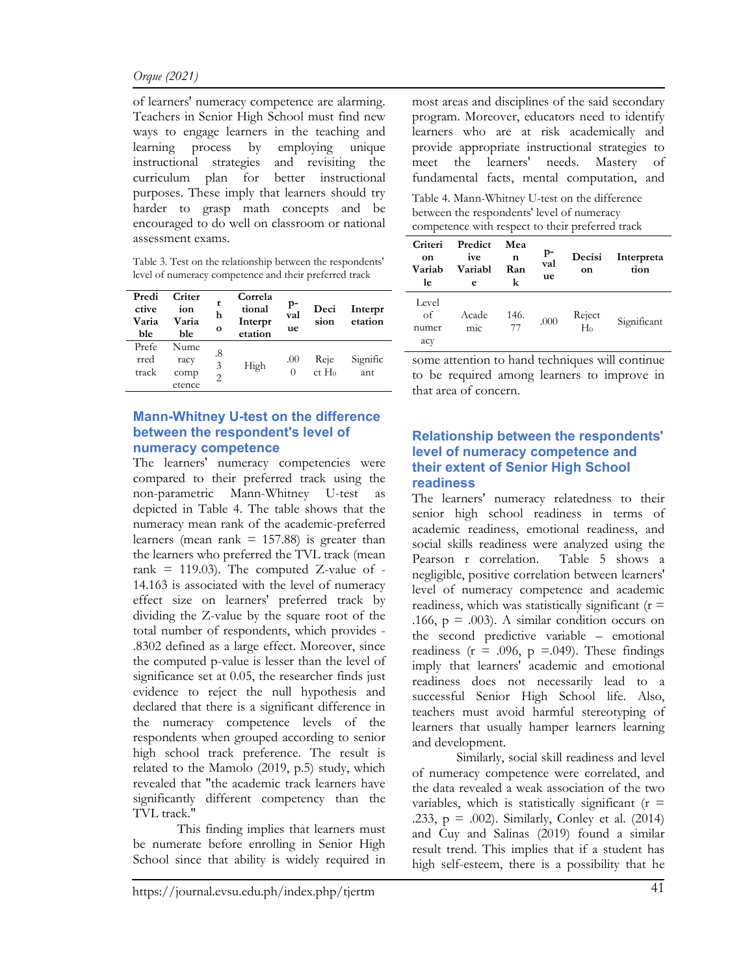of learners' numeracy competence are alarming. Teachers in Senior High School must find new ways to engage learners in the teaching and learning process by employing unique instructional strategies and revisiting the curriculum plan for better instructional purposes. These imply that learners should try harder to grasp math concepts and be encouraged to do well on classroom or national assessment exams.

Table 3. Test on the relationship between the respondents' level of numeracy competence and their preferred track

| Predi<br>ctive<br>Varia<br>ble | Criter<br>ion<br>Varia<br>ble  | r<br>h<br>$\bf{o}$        | Correla<br>tional<br>Interpr<br>etation | $_{\rm p}$<br>val<br>ue | Deci<br>sion     | Interpr<br>etation |
|--------------------------------|--------------------------------|---------------------------|-----------------------------------------|-------------------------|------------------|--------------------|
| Prefe<br>rred<br>track         | Nume<br>racy<br>comp<br>etence | .8<br>3<br>$\mathfrak{D}$ | High                                    | .00<br>0                | Reje<br>$ct H_0$ | Signific<br>ant    |

#### Mann-Whitney U-test on the difference between the respondent's level of numeracy competence

The learners' numeracy competencies were compared to their preferred track using the non-parametric Mann-Whitney U-test as depicted in Table 4. The table shows that the numeracy mean rank of the academic-preferred learners (mean rank  $= 157.88$ ) is greater than the learners who preferred the TVL track (mean rank = 119.03). The computed Z-value of -14.163 is associated with the level of numeracy effect size on learners' preferred track by dividing the Z-value by the square root of the total number of respondents, which provides - .8302 defined as a large effect. Moreover, since the computed p-value is lesser than the level of significance set at 0.05, the researcher finds just evidence to reject the null hypothesis and declared that there is a significant difference in the numeracy competence levels of the respondents when grouped according to senior high school track preference. The result is related to the Mamolo (2019, p.5) study, which revealed that "the academic track learners have significantly different competency than the TVL track."

This finding implies that learners must be numerate before enrolling in Senior High School since that ability is widely required in most areas and disciplines of the said secondary program. Moreover, educators need to identify learners who are at risk academically and provide appropriate instructional strategies to meet the learners' needs. Mastery of fundamental facts, mental computation, and

Table 4. Mann-Whitney U-test on the difference between the respondents' level of numeracy competence with respect to their preferred track

| Criteri<br>on<br>Variab<br>le | Predict<br>ive<br>Variabl<br>e | Mea<br>n<br>Ran<br>k | p-<br>val<br>ue | Decisi<br>on    | Interpreta<br>tion |
|-------------------------------|--------------------------------|----------------------|-----------------|-----------------|--------------------|
| Level<br>of<br>numer<br>acy   | Acade<br>mic.                  | 146.<br>77           | .000            | Reject<br>$H_0$ | Significant        |

some attention to hand techniques will continue to be required among learners to improve in that area of concern.

### Relationship between the respondents' level of numeracy competence and their extent of Senior High School readiness

The learners' numeracy relatedness to their senior high school readiness in terms of academic readiness, emotional readiness, and social skills readiness were analyzed using the Pearson r correlation. Table 5 shows a negligible, positive correlation between learners' level of numeracy competence and academic readiness, which was statistically significant  $(r =$ .166,  $p = .003$ ). A similar condition occurs on the second predictive variable – emotional readiness ( $r = .096$ ,  $p = .049$ ). These findings imply that learners' academic and emotional readiness does not necessarily lead to a successful Senior High School life. Also, teachers must avoid harmful stereotyping of learners that usually hamper learners learning and development.

Similarly, social skill readiness and level of numeracy competence were correlated, and the data revealed a weak association of the two variables, which is statistically significant ( $r =$ .233, p = .002). Similarly, Conley et al. (2014) and Cuy and Salinas (2019) found a similar result trend. This implies that if a student has high self-esteem, there is a possibility that he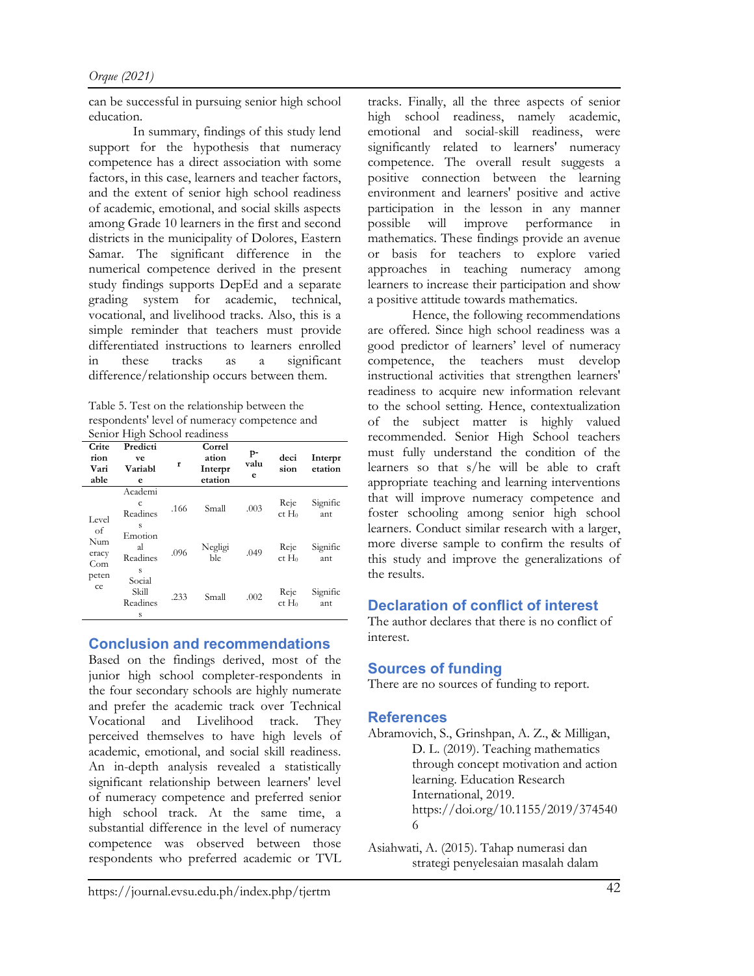can be successful in pursuing senior high school education.

In summary, findings of this study lend support for the hypothesis that numeracy competence has a direct association with some factors, in this case, learners and teacher factors, and the extent of senior high school readiness of academic, emotional, and social skills aspects among Grade 10 learners in the first and second districts in the municipality of Dolores, Eastern Samar. The significant difference in the numerical competence derived in the present study findings supports DepEd and a separate grading system for academic, technical, vocational, and livelihood tracks. Also, this is a simple reminder that teachers must provide differentiated instructions to learners enrolled in these tracks as a significant difference/relationship occurs between them.

Table 5. Test on the relationship between the respondents' level of numeracy competence and Senior High School readiness

| Crite                     | ◠<br>Predicti                    |      | Correl                      |                 |                           |                    |
|---------------------------|----------------------------------|------|-----------------------------|-----------------|---------------------------|--------------------|
| rion<br>Vari<br>able      | ve<br>Variabl<br>e               | r    | ation<br>Interpr<br>etation | p-<br>valu<br>e | deci<br>sion              | Interpr<br>etation |
| Level                     | Academi<br>c<br>Readines<br>S    | .166 | Small                       | .003            | Reje<br>ct H <sub>0</sub> | Signific<br>ant    |
| οf<br>Num<br>eracy<br>Com | Emotion<br>al<br>Readines<br>S   | .096 | Negligi<br>ble              | .049            | Reje<br>ct H <sub>0</sub> | Signific<br>ant    |
| peten<br>ce               | Social<br>Skill<br>Readines<br>S | .233 | Small                       | .002            | Reje<br>ct H <sub>0</sub> | Signific<br>ant    |

# Conclusion and recommendations

Based on the findings derived, most of the junior high school completer-respondents in the four secondary schools are highly numerate and prefer the academic track over Technical Vocational and Livelihood track. They perceived themselves to have high levels of academic, emotional, and social skill readiness. An in-depth analysis revealed a statistically significant relationship between learners' level of numeracy competence and preferred senior high school track. At the same time, a substantial difference in the level of numeracy competence was observed between those respondents who preferred academic or TVL tracks. Finally, all the three aspects of senior high school readiness, namely academic, emotional and social-skill readiness, were significantly related to learners' numeracy competence. The overall result suggests a positive connection between the learning environment and learners' positive and active participation in the lesson in any manner possible will improve performance in mathematics. These findings provide an avenue or basis for teachers to explore varied approaches in teaching numeracy among learners to increase their participation and show a positive attitude towards mathematics.

Hence, the following recommendations are offered. Since high school readiness was a good predictor of learners' level of numeracy competence, the teachers must develop instructional activities that strengthen learners' readiness to acquire new information relevant to the school setting. Hence, contextualization of the subject matter is highly valued recommended. Senior High School teachers must fully understand the condition of the learners so that s/he will be able to craft appropriate teaching and learning interventions that will improve numeracy competence and foster schooling among senior high school learners. Conduct similar research with a larger, more diverse sample to confirm the results of this study and improve the generalizations of the results.

# Declaration of conflict of interest

The author declares that there is no conflict of interest.

# Sources of funding

There are no sources of funding to report.

# **References**

- Abramovich, S., Grinshpan, A. Z., & Milligan, D. L. (2019). Teaching mathematics through concept motivation and action learning. Education Research International, 2019. https://doi.org/10.1155/2019/374540 6
- Asiahwati, A. (2015). Tahap numerasi dan strategi penyelesaian masalah dalam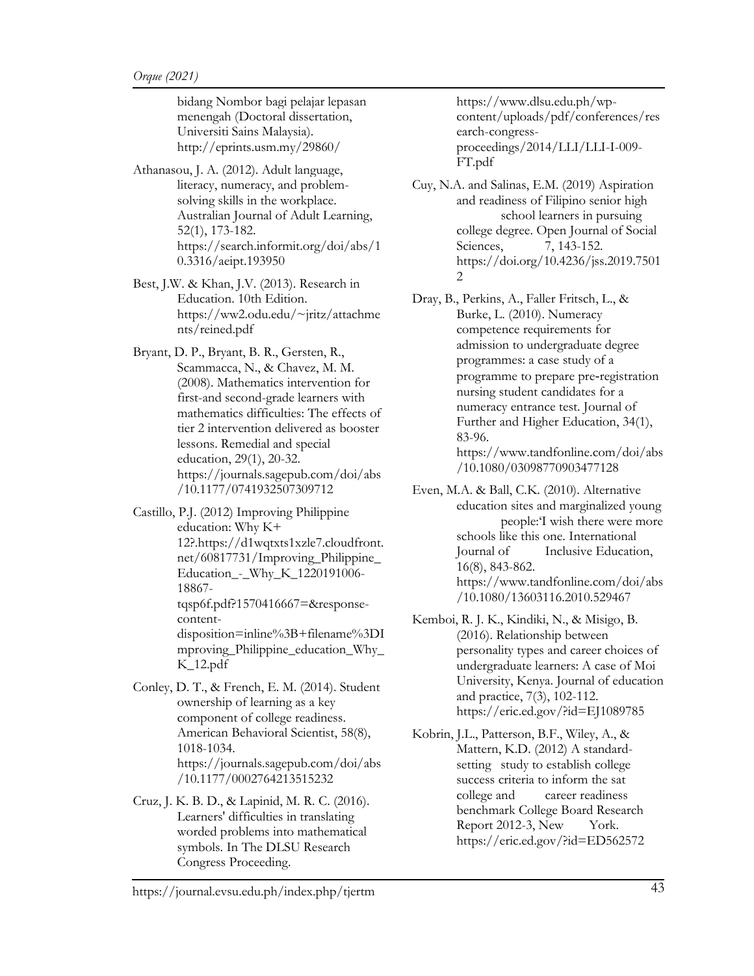bidang Nombor bagi pelajar lepasan menengah (Doctoral dissertation, Universiti Sains Malaysia). http://eprints.usm.my/29860/

Athanasou, J. A. (2012). Adult language, literacy, numeracy, and problemsolving skills in the workplace. Australian Journal of Adult Learning, 52(1), 173-182. https://search.informit.org/doi/abs/1 0.3316/aeipt.193950

Best, J.W. & Khan, J.V. (2013). Research in Education. 10th Edition. https://ww2.odu.edu/~jritz/attachme nts/reined.pdf

Bryant, D. P., Bryant, B. R., Gersten, R., Scammacca, N., & Chavez, M. M. (2008). Mathematics intervention for first-and second-grade learners with mathematics difficulties: The effects of tier 2 intervention delivered as booster lessons. Remedial and special education, 29(1), 20-32. https://journals.sagepub.com/doi/abs /10.1177/0741932507309712

Castillo, P.J. (2012) Improving Philippine education: Why K+ 12?.https://d1wqtxts1xzle7.cloudfront. net/60817731/Improving\_Philippine\_ Education\_-\_Why\_K\_1220191006- 18867 tqsp6f.pdf?1570416667=&responsecontentdisposition=inline%3B+filename%3DI mproving\_Philippine\_education\_Why\_

K\_12.pdf

Conley, D. T., & French, E. M. (2014). Student ownership of learning as a key component of college readiness. American Behavioral Scientist, 58(8), 1018-1034. https://journals.sagepub.com/doi/abs /10.1177/0002764213515232

Cruz, J. K. B. D., & Lapinid, M. R. C. (2016). Learners' difficulties in translating worded problems into mathematical symbols. In The DLSU Research Congress Proceeding.

https://www.dlsu.edu.ph/wpcontent/uploads/pdf/conferences/res earch-congressproceedings/2014/LLI/LLI-I-009- FT.pdf

Cuy, N.A. and Salinas, E.M. (2019) Aspiration and readiness of Filipino senior high school learners in pursuing college degree. Open Journal of Social Sciences, 7, 143-152. https://doi.org/10.4236/jss.2019.7501  $\mathcal{L}$ 

Dray, B., Perkins, A., Faller Fritsch, L., & Burke, L. (2010). Numeracy competence requirements for admission to undergraduate degree programmes: a case study of a programme to prepare pre‐registration nursing student candidates for a numeracy entrance test. Journal of Further and Higher Education, 34(1), 83-96. https://www.tandfonline.com/doi/abs /10.1080/03098770903477128

Even, M.A. & Ball, C.K. (2010). Alternative education sites and marginalized young people:'I wish there were more schools like this one. International Journal of Inclusive Education, 16(8), 843-862. https://www.tandfonline.com/doi/abs /10.1080/13603116.2010.529467

Kemboi, R. J. K., Kindiki, N., & Misigo, B. (2016). Relationship between personality types and career choices of undergraduate learners: A case of Moi University, Kenya. Journal of education and practice, 7(3), 102-112. https://eric.ed.gov/?id=EJ1089785

Kobrin, J.L., Patterson, B.F., Wiley, A., & Mattern, K.D. (2012) A standardsetting study to establish college success criteria to inform the sat college and career readiness benchmark College Board Research Report 2012-3, New York. https://eric.ed.gov/?id=ED562572

https://journal.evsu.edu.ph/index.php/tjertm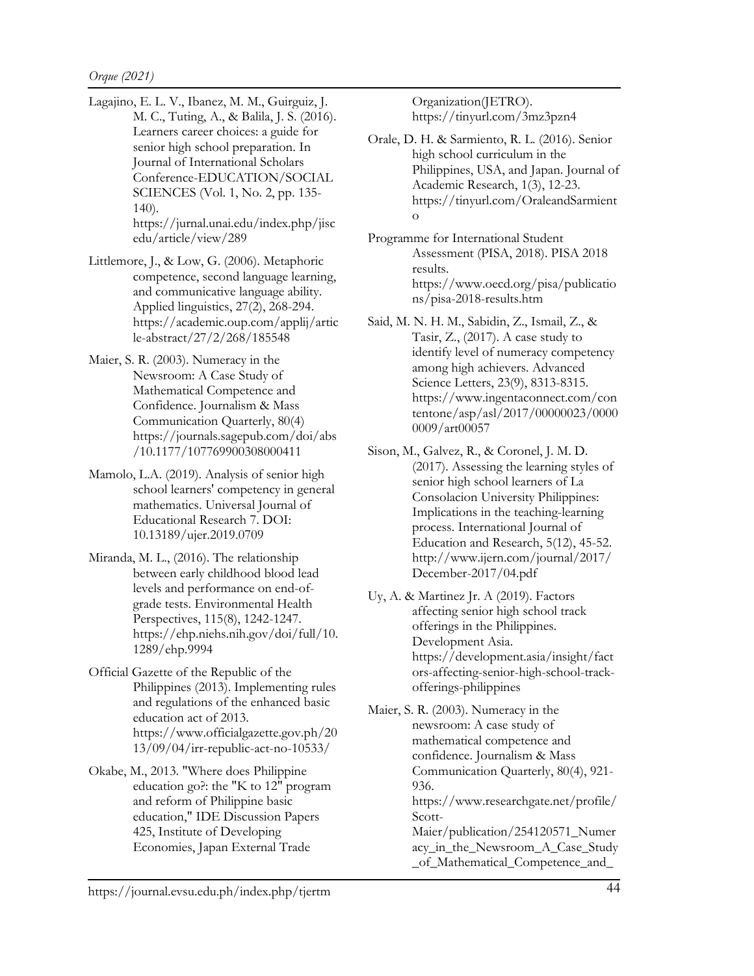- Lagajino, E. L. V., Ibanez, M. M., Guirguiz, J. M. C., Tuting, A., & Balila, J. S. (2016). Learners career choices: a guide for senior high school preparation. In Journal of International Scholars Conference-EDUCATION/SOCIAL SCIENCES (Vol. 1, No. 2, pp. 135- 140). https://jurnal.unai.edu/index.php/jisc edu/article/view/289
- Littlemore, J., & Low, G. (2006). Metaphoric competence, second language learning, and communicative language ability. Applied linguistics, 27(2), 268-294. https://academic.oup.com/applij/artic le-abstract/27/2/268/185548
- Maier, S. R. (2003). Numeracy in the Newsroom: A Case Study of Mathematical Competence and Confidence. Journalism & Mass Communication Quarterly, 80(4) https://journals.sagepub.com/doi/abs /10.1177/107769900308000411
- Mamolo, L.A. (2019). Analysis of senior high school learners' competency in general mathematics. Universal Journal of Educational Research 7. DOI: 10.13189/ujer.2019.0709
- Miranda, M. L., (2016). The relationship between early childhood blood lead levels and performance on end-ofgrade tests. Environmental Health Perspectives, 115(8), 1242-1247. https://ehp.niehs.nih.gov/doi/full/10. 1289/ehp.9994
- Official Gazette of the Republic of the Philippines (2013). Implementing rules and regulations of the enhanced basic education act of 2013. https://www.officialgazette.gov.ph/20 13/09/04/irr-republic-act-no-10533/
- Okabe, M., 2013. "Where does Philippine education go?: the "K to 12" program and reform of Philippine basic education," IDE Discussion Papers 425, Institute of Developing Economies, Japan External Trade

Organization(JETRO). https://tinyurl.com/3mz3pzn4

- Orale, D. H. & Sarmiento, R. L. (2016). Senior high school curriculum in the Philippines, USA, and Japan. Journal of Academic Research, 1(3), 12-23. https://tinyurl.com/OraleandSarmient o
- Programme for International Student Assessment (PISA, 2018). PISA 2018 results. https://www.oecd.org/pisa/publicatio ns/pisa-2018-results.htm
- Said, M. N. H. M., Sabidin, Z., Ismail, Z., & Tasir, Z., (2017). A case study to identify level of numeracy competency among high achievers. Advanced Science Letters, 23(9), 8313-8315. https://www.ingentaconnect.com/con tentone/asp/asl/2017/00000023/0000 0009/art00057
- Sison, M., Galvez, R., & Coronel, J. M. D. (2017). Assessing the learning styles of senior high school learners of La Consolacion University Philippines: Implications in the teaching-learning process. International Journal of Education and Research, 5(12), 45-52. http://www.ijern.com/journal/2017/ December-2017/04.pdf
- Uy, A. & Martinez Jr. A (2019). Factors affecting senior high school track offerings in the Philippines. Development Asia. https://development.asia/insight/fact ors-affecting-senior-high-school-trackofferings-philippines
- Maier, S. R. (2003). Numeracy in the newsroom: A case study of mathematical competence and confidence. Journalism & Mass Communication Quarterly, 80(4), 921- 936. https://www.researchgate.net/profile/ Scott-Maier/publication/254120571\_Numer acy\_in\_the\_Newsroom\_A\_Case\_Study \_of\_Mathematical\_Competence\_and\_

https://journal.evsu.edu.ph/index.php/tjertm